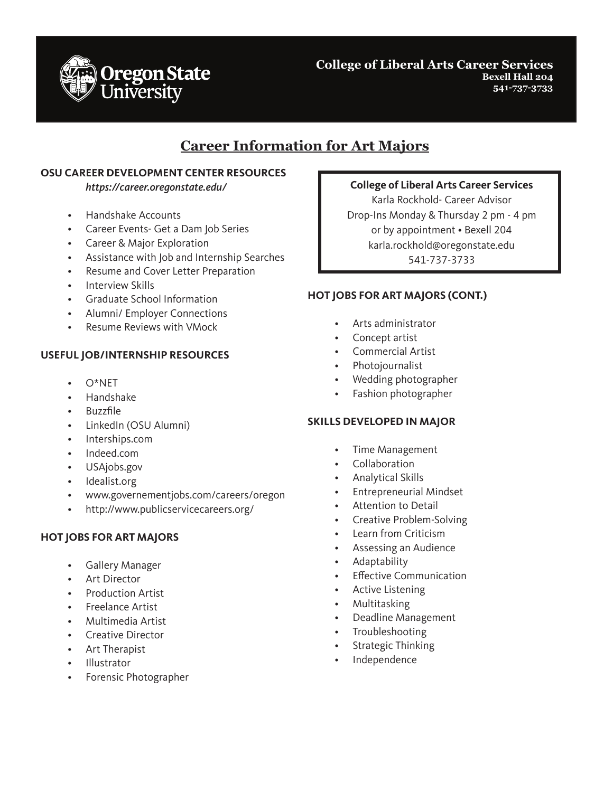

**College of Liberal Arts Career Services Bexell Hall 204 541-737-3733**

## **Career Information for Art Majors**

### **OSU CAREER DEVELOPMENT CENTER RESOURCES**

*https://career.oregonstate.edu/*

- Handshake Accounts
- Career Events- Get a Dam Job Series
- Career & Major Exploration
- Assistance with Job and Internship Searches
- Resume and Cover Letter Preparation
- Interview Skills
- Graduate School Information
- Alumni/ Employer Connections
- Resume Reviews with VMock

## **USEFUL JOB/INTERNSHIP RESOURCES**

- $O^*NFT$
- Handshake
- Buzzfile
- LinkedIn (OSU Alumni)
- Interships.com
- Indeed.com
- USAjobs.gov
- Idealist.org
- www.governementjobs.com/careers/oregon
- http://www.publicservicecareers.org/

### **HOT JOBS FOR ART MAJORS**

- Gallery Manager
- Art Director
- Production Artist
- Freelance Artist
- Multimedia Artist
- Creative Director
- Art Therapist
- Illustrator
- Forensic Photographer

### **College of Liberal Arts Career Services**

Karla Rockhold- Career Advisor Drop-Ins Monday & Thursday 2 pm - 4 pm or by appointment • Bexell 204 karla.rockhold@oregonstate.edu 541-737-3733

#### **HOT JOBS FOR ART MAJORS (CONT.)**

- Arts administrator
- Concept artist
- Commercial Artist
- Photojournalist
- Wedding photographer
- Fashion photographer

### **SKILLS DEVELOPED IN MAJOR**

- Time Management
- Collaboration
- Analytical Skills
- Entrepreneurial Mindset
- Attention to Detail
- Creative Problem-Solving
- Learn from Criticism
- Assessing an Audience
- Adaptability
- **Effective Communication**
- Active Listening
- Multitasking
- Deadline Management
- **Troubleshooting**
- Strategic Thinking
- **Independence**